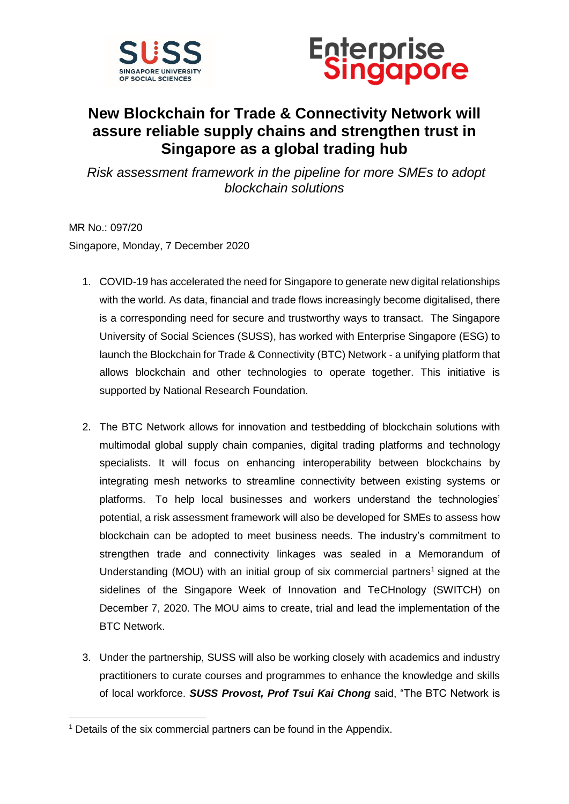



### **New Blockchain for Trade & Connectivity Network will assure reliable supply chains and strengthen trust in Singapore as a global trading hub**

*Risk assessment framework in the pipeline for more SMEs to adopt blockchain solutions*

MR No.: 097/20 Singapore, Monday, 7 December 2020

- 1. COVID-19 has accelerated the need for Singapore to generate new digital relationships with the world. As data, financial and trade flows increasingly become digitalised, there is a corresponding need for secure and trustworthy ways to transact. The Singapore University of Social Sciences (SUSS), has worked with Enterprise Singapore (ESG) to launch the Blockchain for Trade & Connectivity (BTC) Network - a unifying platform that allows blockchain and other technologies to operate together. This initiative is supported by National Research Foundation.
- 2. The BTC Network allows for innovation and testbedding of blockchain solutions with multimodal global supply chain companies, digital trading platforms and technology specialists. It will focus on enhancing interoperability between blockchains by integrating mesh networks to streamline connectivity between existing systems or platforms. To help local businesses and workers understand the technologies' potential, a risk assessment framework will also be developed for SMEs to assess how blockchain can be adopted to meet business needs. The industry's commitment to strengthen trade and connectivity linkages was sealed in a Memorandum of Understanding (MOU) with an initial group of six commercial partners<sup>1</sup> signed at the sidelines of the Singapore Week of Innovation and TeCHnology (SWITCH) on December 7, 2020. The MOU aims to create, trial and lead the implementation of the BTC Network.
- 3. Under the partnership, SUSS will also be working closely with academics and industry practitioners to curate courses and programmes to enhance the knowledge and skills of local workforce. *SUSS Provost, Prof Tsui Kai Chong* said, "The BTC Network is

**<sup>.</sup>**  $1$  Details of the six commercial partners can be found in the Appendix.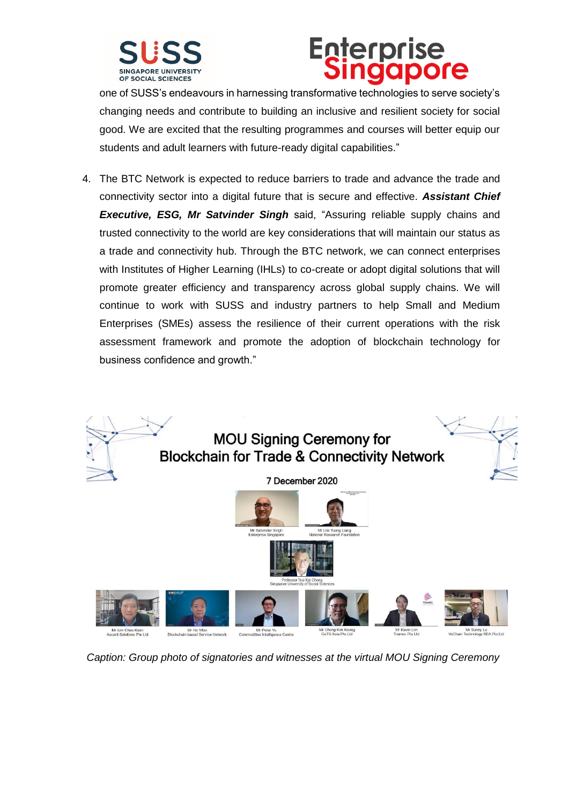

### **Enterprise** Singapore

one of SUSS's endeavours in harnessing transformative technologies to serve society's changing needs and contribute to building an inclusive and resilient society for social good. We are excited that the resulting programmes and courses will better equip our students and adult learners with future-ready digital capabilities."

4. The BTC Network is expected to reduce barriers to trade and advance the trade and connectivity sector into a digital future that is secure and effective. *Assistant Chief Executive, ESG, Mr Satvinder Singh* said, "Assuring reliable supply chains and trusted connectivity to the world are key considerations that will maintain our status as a trade and connectivity hub. Through the BTC network, we can connect enterprises with Institutes of Higher Learning (IHLs) to co-create or adopt digital solutions that will promote greater efficiency and transparency across global supply chains. We will continue to work with SUSS and industry partners to help Small and Medium Enterprises (SMEs) assess the resilience of their current operations with the risk assessment framework and promote the adoption of blockchain technology for business confidence and growth."



*Caption: Group photo of signatories and witnesses at the virtual MOU Signing Ceremony*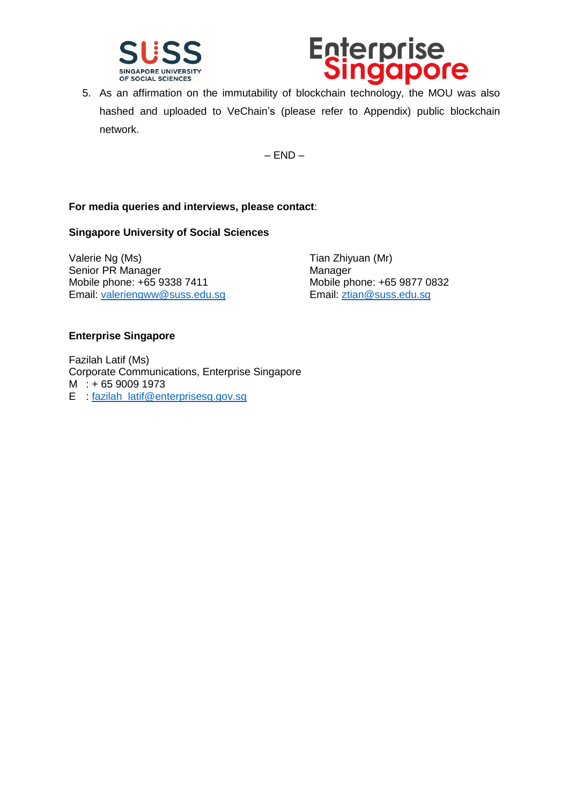



5. As an affirmation on the immutability of blockchain technology, the MOU was also hashed and uploaded to VeChain's (please refer to Appendix) public blockchain network.

 $-$  END $-$ 

#### **For media queries and interviews, please contact**:

#### **Singapore University of Social Sciences**

Valerie Ng (Ms)  $\sqrt{a}$  Tian Zhiyuan (Mr) Senior PR Manager Manager Manager Mobile phone: +65 9338 7411 Mobile phone: +65 9877 0832 Email: [valeriengww@suss.edu.sg](mailto:valeriengww@suss.edu.sg) Email: [ztian@suss.edu.sg](mailto:ztian@suss.edu.sg)

#### **Enterprise Singapore**

Fazilah Latif (Ms) Corporate Communications, Enterprise Singapore M : + 65 9009 1973 E : [fazilah\\_latif@enterprisesg.gov.sg](mailto:fazilah_latif@enterprisesg.gov.sg)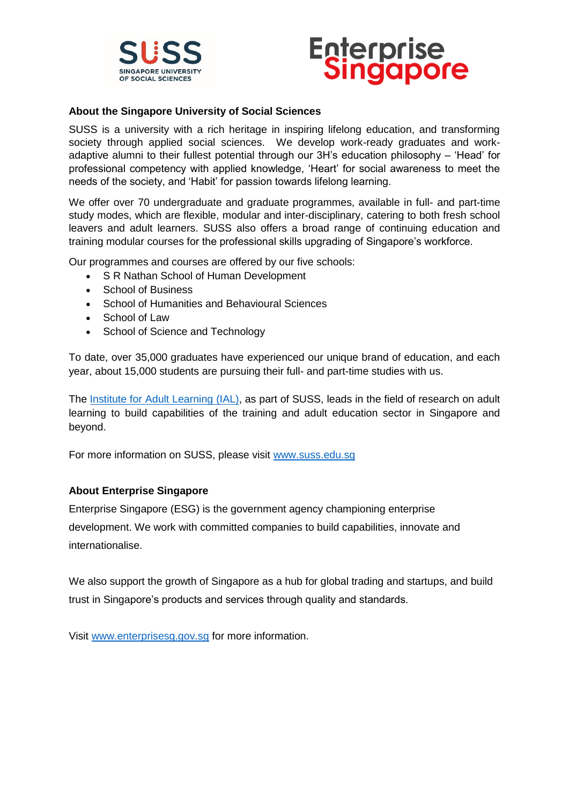

### **Enterprise<br>Singapore**

#### **About the Singapore University of Social Sciences**

SUSS is a university with a rich heritage in inspiring lifelong education, and transforming society through applied social sciences. We develop work-ready graduates and workadaptive alumni to their fullest potential through our 3H's education philosophy – 'Head' for professional competency with applied knowledge, 'Heart' for social awareness to meet the needs of the society, and 'Habit' for passion towards lifelong learning.

We offer over 70 undergraduate and graduate programmes, available in full- and part-time study modes, which are flexible, modular and inter-disciplinary, catering to both fresh school leavers and adult learners. SUSS also offers a broad range of continuing education and training modular courses for the professional skills upgrading of Singapore's workforce.

Our programmes and courses are offered by our five schools:

- S R Nathan School of Human Development
- School of Business
- School of Humanities and Behavioural Sciences
- School of Law
- School of Science and Technology

To date, over 35,000 graduates have experienced our unique brand of education, and each year, about 15,000 students are pursuing their full- and part-time studies with us.

The [Institute for Adult Learning \(IAL\),](https://www.ial.edu.sg/?utm_source=suss_website&utm_medium=webpage&utm_campaign=ial-info&utm_content=page-who-we-are) as part of SUSS, leads in the field of research on adult learning to build capabilities of the training and adult education sector in Singapore and beyond.

For more information on SUSS, please visit [www.suss.edu.sg](http://www.suss.edu.sg/)

#### **About Enterprise Singapore**

Enterprise Singapore (ESG) is the government agency championing enterprise development. We work with committed companies to build capabilities, innovate and internationalise.

We also support the growth of Singapore as a hub for global trading and startups, and build trust in Singapore's products and services through quality and standards.

Visit [www.enterprisesg.gov.sg](http://www.enterprisesg.gov.sg/) for more information.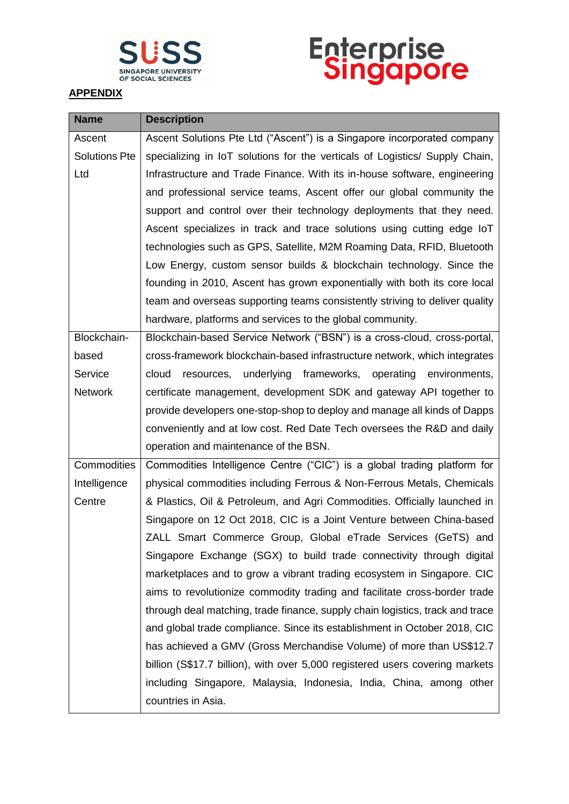

## **Enterprise**<br>Singapore

#### **APPENDIX**

| <b>Name</b>          | <b>Description</b>                                                            |
|----------------------|-------------------------------------------------------------------------------|
| Ascent               | Ascent Solutions Pte Ltd ("Ascent") is a Singapore incorporated company       |
| <b>Solutions Pte</b> | specializing in IoT solutions for the verticals of Logistics/ Supply Chain,   |
| Ltd                  | Infrastructure and Trade Finance. With its in-house software, engineering     |
|                      | and professional service teams, Ascent offer our global community the         |
|                      | support and control over their technology deployments that they need.         |
|                      | Ascent specializes in track and trace solutions using cutting edge IoT        |
|                      | technologies such as GPS, Satellite, M2M Roaming Data, RFID, Bluetooth        |
|                      | Low Energy, custom sensor builds & blockchain technology. Since the           |
|                      | founding in 2010, Ascent has grown exponentially with both its core local     |
|                      | team and overseas supporting teams consistently striving to deliver quality   |
|                      | hardware, platforms and services to the global community.                     |
| Blockchain-          | Blockchain-based Service Network ("BSN") is a cross-cloud, cross-portal,      |
| based                | cross-framework blockchain-based infrastructure network, which integrates     |
| Service              | cloud resources, underlying frameworks, operating environments,               |
| <b>Network</b>       | certificate management, development SDK and gateway API together to           |
|                      | provide developers one-stop-shop to deploy and manage all kinds of Dapps      |
|                      | conveniently and at low cost. Red Date Tech oversees the R&D and daily        |
|                      | operation and maintenance of the BSN.                                         |
| Commodities          | Commodities Intelligence Centre ("CIC") is a global trading platform for      |
| Intelligence         | physical commodities including Ferrous & Non-Ferrous Metals, Chemicals        |
| Centre               | & Plastics, Oil & Petroleum, and Agri Commodities. Officially launched in     |
|                      | Singapore on 12 Oct 2018, CIC is a Joint Venture between China-based          |
|                      | ZALL Smart Commerce Group, Global eTrade Services (GeTS) and                  |
|                      | Singapore Exchange (SGX) to build trade connectivity through digital          |
|                      | marketplaces and to grow a vibrant trading ecosystem in Singapore. CIC        |
|                      | aims to revolutionize commodity trading and facilitate cross-border trade     |
|                      | through deal matching, trade finance, supply chain logistics, track and trace |
|                      | and global trade compliance. Since its establishment in October 2018, CIC     |
|                      | has achieved a GMV (Gross Merchandise Volume) of more than US\$12.7           |
|                      | billion (S\$17.7 billion), with over 5,000 registered users covering markets  |
|                      | including Singapore, Malaysia, Indonesia, India, China, among other           |
|                      | countries in Asia.                                                            |